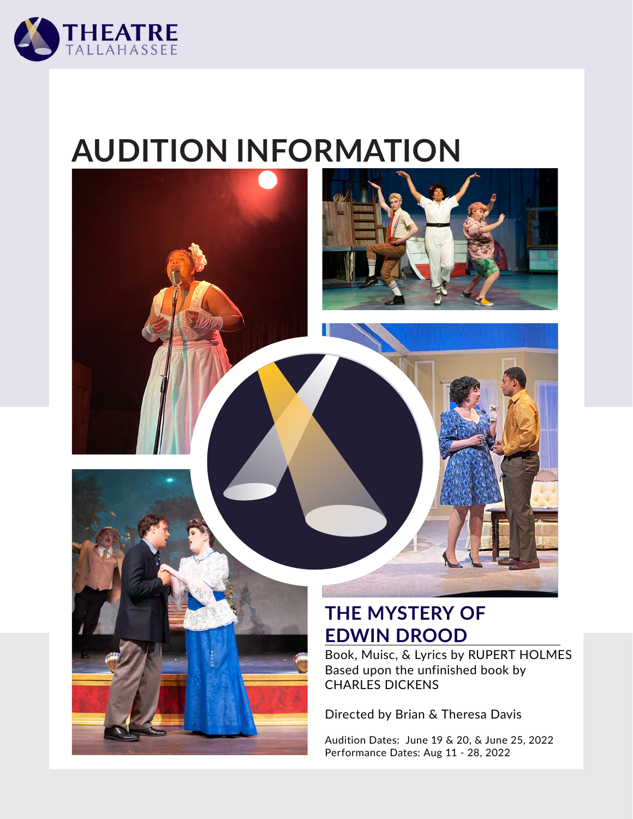

# **AUDITION INFORMATION**



#### **THE MYSTERY OF EDWIN DROOD**

Book, Muisc, & Lyrics by RUPERT HOLMES Based upon the unfinished book by CHARLES DICKENS

Directed by Brian & Theresa Davis

Audition Dates: June 19 & 20, & June 25, 2022 Performance Dates: Aug 11 - 28, 2022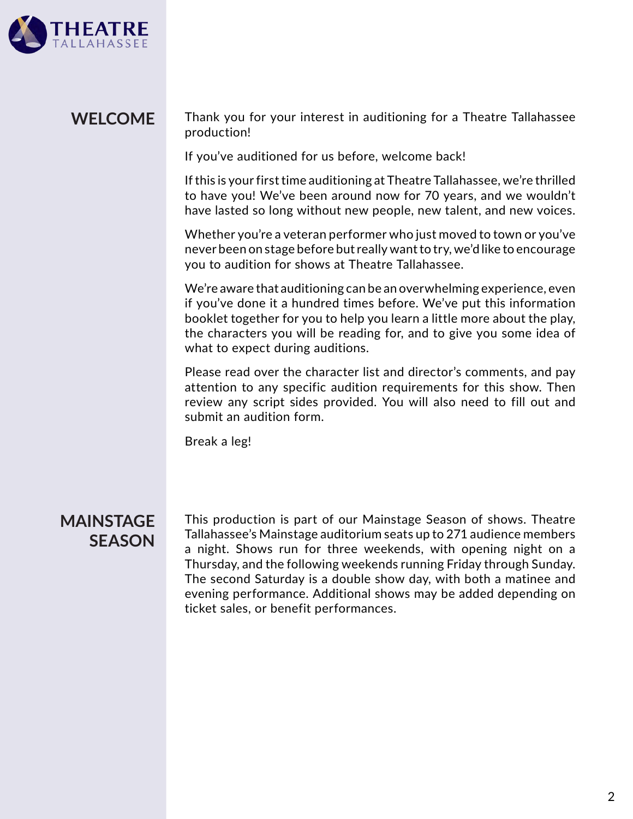

#### Thank you for your interest in auditioning for a Theatre Tallahassee production! **WELCOME**

If you've auditioned for us before, welcome back!

If this is your first time auditioning at Theatre Tallahassee, we're thrilled to have you! We've been around now for 70 years, and we wouldn't have lasted so long without new people, new talent, and new voices.

Whether you're a veteran performer who just moved to town or you've never been on stage before but really want to try, we'd like to encourage you to audition for shows at Theatre Tallahassee.

We're aware that auditioning can be an overwhelming experience, even if you've done it a hundred times before. We've put this information booklet together for you to help you learn a little more about the play, the characters you will be reading for, and to give you some idea of what to expect during auditions.

Please read over the character list and director's comments, and pay attention to any specific audition requirements for this show. Then review any script sides provided. You will also need to fill out and submit an audition form.

Break a leg!

#### **MAINSTAGE SEASON**

This production is part of our Mainstage Season of shows. Theatre Tallahassee's Mainstage auditorium seats up to 271 audience members a night. Shows run for three weekends, with opening night on a Thursday, and the following weekends running Friday through Sunday. The second Saturday is a double show day, with both a matinee and evening performance. Additional shows may be added depending on ticket sales, or benefit performances.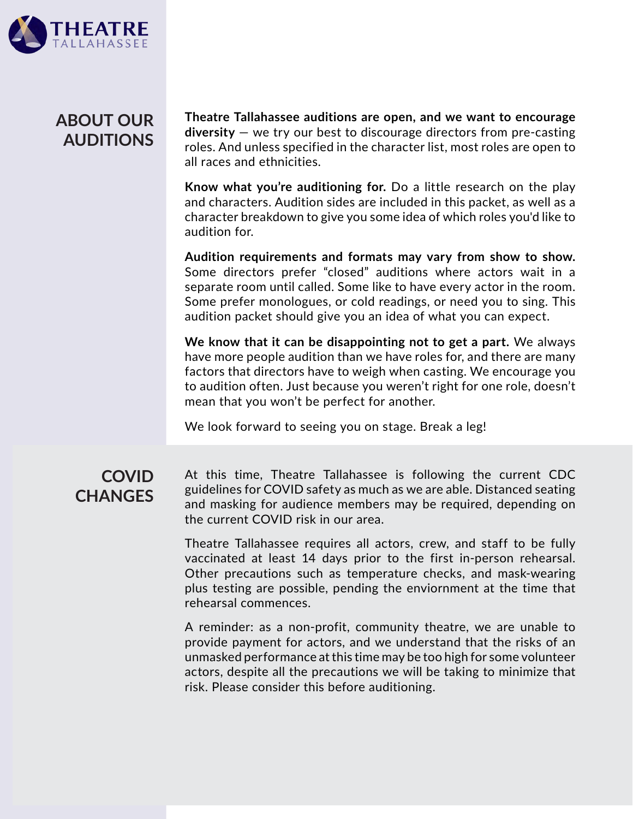

#### **ABOUT OUR AUDITIONS**

**Theatre Tallahassee auditions are open, and we want to encourage diversity** — we try our best to discourage directors from pre-casting roles. And unless specified in the character list, most roles are open to all races and ethnicities.

**Know what you're auditioning for.** Do a little research on the play and characters. Audition sides are included in this packet, as well as a character breakdown to give you some idea of which roles you'd like to audition for.

**Audition requirements and formats may vary from show to show.** Some directors prefer "closed" auditions where actors wait in a separate room until called. Some like to have every actor in the room. Some prefer monologues, or cold readings, or need you to sing. This audition packet should give you an idea of what you can expect.

**We know that it can be disappointing not to get a part.** We always have more people audition than we have roles for, and there are many factors that directors have to weigh when casting. We encourage you to audition often. Just because you weren't right for one role, doesn't mean that you won't be perfect for another.

We look forward to seeing you on stage. Break a leg!

#### **COVID CHANGES**

At this time, Theatre Tallahassee is following the current CDC guidelines for COVID safety as much as we are able. Distanced seating and masking for audience members may be required, depending on the current COVID risk in our area.

Theatre Tallahassee requires all actors, crew, and staff to be fully vaccinated at least 14 days prior to the first in-person rehearsal. Other precautions such as temperature checks, and mask-wearing plus testing are possible, pending the enviornment at the time that rehearsal commences.

A reminder: as a non-profit, community theatre, we are unable to provide payment for actors, and we understand that the risks of an unmasked performance at this time may be too high for some volunteer actors, despite all the precautions we will be taking to minimize that risk. Please consider this before auditioning.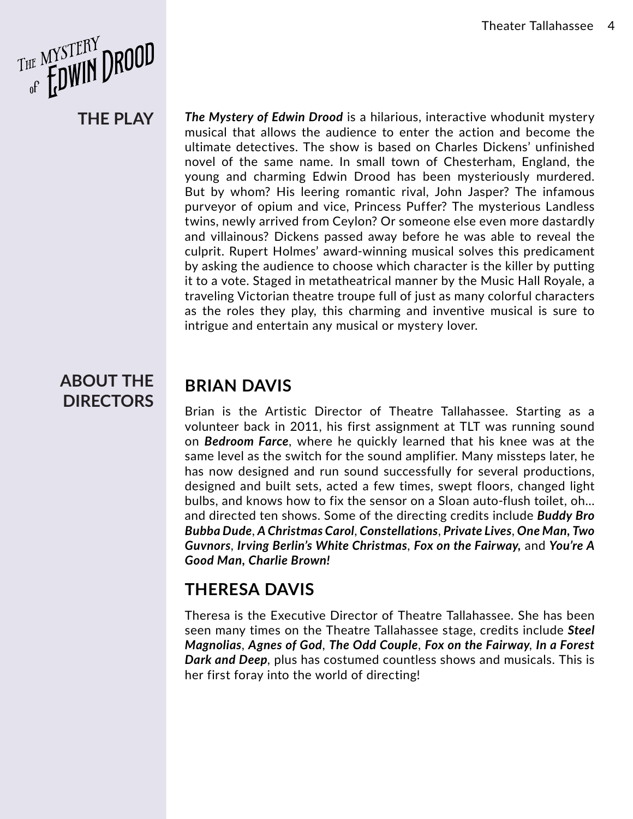

**THE PLAY**

*The Mystery of Edwin Drood* is a hilarious, interactive whodunit mystery musical that allows the audience to enter the action and become the ultimate detectives. The show is based on Charles Dickens' unfinished novel of the same name. In small town of Chesterham, England, the young and charming Edwin Drood has been mysteriously murdered. But by whom? His leering romantic rival, John Jasper? The infamous purveyor of opium and vice, Princess Puffer? The mysterious Landless twins, newly arrived from Ceylon? Or someone else even more dastardly and villainous? Dickens passed away before he was able to reveal the culprit. Rupert Holmes' award-winning musical solves this predicament by asking the audience to choose which character is the killer by putting it to a vote. Staged in metatheatrical manner by the Music Hall Royale, a traveling Victorian theatre troupe full of just as many colorful characters as the roles they play, this charming and inventive musical is sure to intrigue and entertain any musical or mystery lover.

#### **ABOUT THE DIRECTORS**

#### **BRIAN DAVIS**

Brian is the Artistic Director of Theatre Tallahassee. Starting as a volunteer back in 2011, his first assignment at TLT was running sound on *Bedroom Farce*, where he quickly learned that his knee was at the same level as the switch for the sound amplifier. Many missteps later, he has now designed and run sound successfully for several productions, designed and built sets, acted a few times, swept floors, changed light bulbs, and knows how to fix the sensor on a Sloan auto-flush toilet, oh… and directed ten shows. Some of the directing credits include *Buddy Bro Bubba Dude*, *A Christmas Carol*, *Constellations*, *Private Lives*, *One Man, Two Guvnors*, *Irving Berlin's White Christmas*, *Fox on the Fairway,* and *You're A Good Man, Charlie Brown!*

#### **THERESA DAVIS**

Theresa is the Executive Director of Theatre Tallahassee. She has been seen many times on the Theatre Tallahassee stage, credits include *Steel Magnolias*, *Agnes of God*, *The Odd Couple*, *Fox on the Fairway*, *In a Forest Dark and Deep*, plus has costumed countless shows and musicals. This is her first foray into the world of directing!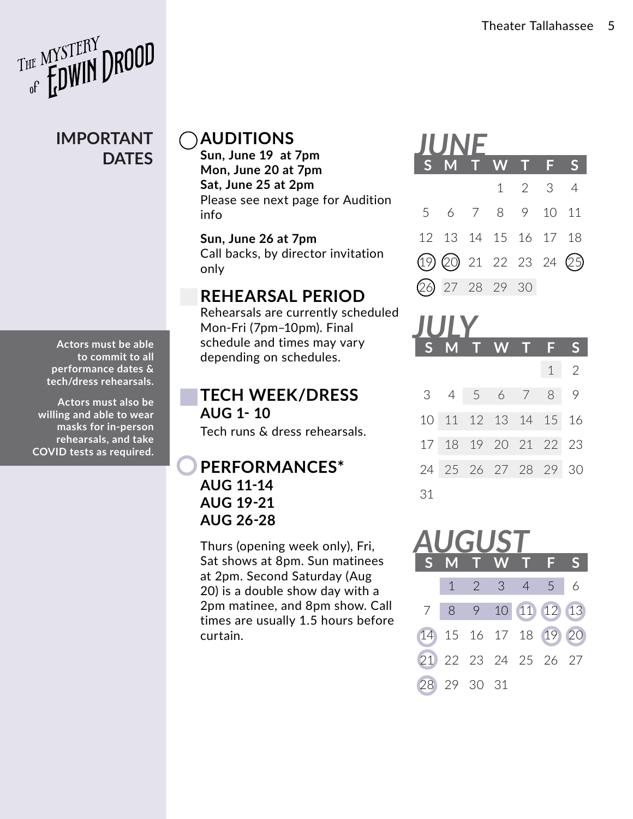

#### **IMPORTANT DATES**

**Actors must be able to commit to all performance dates & tech/dress rehearsals.** 

**Actors must also be willing and able to wear masks for in-person rehearsals, and take COVID tests as required.**

#### **AUDITIONS**

**Sun, June 19 at 7pm Mon, June 20 at 7pm Sat, June 25 at 2pm** Please see next page for Audition info

**Sun, June 26 at 7pm** Call backs, by director invitation only

#### **REHEARSAL PERIOD**

Rehearsals are currently scheduled Mon-Fri (7pm–10pm). Final schedule and times may vary depending on schedules.

**TECH WEEK/DRESS AUG 1- 10** Tech runs & dress rehearsals.

#### **PERFORMANCES\* AUG 11-14 AUG 19-21 AUG 26-28**

Thurs (opening week only), Fri, Sat shows at 8pm. Sun matinees at 2pm. Second Saturday (Aug 20) is a double show day with a 2pm matinee, and 8pm show. Call times are usually 1.5 hours before curtain.

### **S M T W T F S** 1 2 3 4 5 6 7 8 9 10 11 12 13 14 15 16 17 18 19 20 21 22 23 24 25 26 27 28 29 30 *JUNE*

| IUI Y |  |  |                      |  |   |                            |
|-------|--|--|----------------------|--|---|----------------------------|
|       |  |  | S M T W T F          |  |   | Ŝ                          |
|       |  |  |                      |  | 1 | $\overline{\phantom{0}}^2$ |
|       |  |  | $3 \t4 \t5 \t6 \t7$  |  |   | 8 9                        |
|       |  |  | 10 11 12 13 14 15 16 |  |   |                            |
|       |  |  | 17 18 19 20 21 22 23 |  |   |                            |
|       |  |  | 24 25 26 27 28 29 30 |  |   |                            |
| 31    |  |  |                      |  |   |                            |

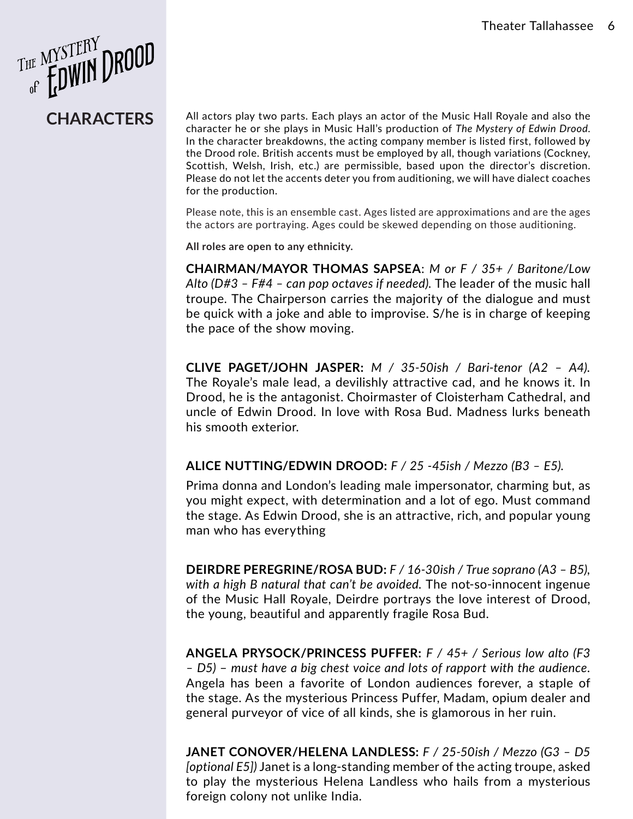

**CHARACTERS** All actors play two parts. Each plays an actor of the Music Hall Royale and also the character he or she plays in Music Hall's production of *The Mystery of Edwin Drood*. In the character breakdowns, the acting company member is listed first, followed by the Drood role. British accents must be employed by all, though variations (Cockney, Scottish, Welsh, Irish, etc.) are permissible, based upon the director's discretion. Please do not let the accents deter you from auditioning, we will have dialect coaches for the production.

> Please note, this is an ensemble cast. Ages listed are approximations and are the ages the actors are portraying. Ages could be skewed depending on those auditioning.

**All roles are open to any ethnicity.**

**CHAIRMAN/MAYOR THOMAS SAPSEA**: *M or F / 35+ / Baritone/Low Alto (D#3 – F#4 – can pop octaves if needed).* The leader of the music hall troupe. The Chairperson carries the majority of the dialogue and must be quick with a joke and able to improvise. S/he is in charge of keeping the pace of the show moving.

**CLIVE PAGET/JOHN JASPER:** *M / 35-50ish / Bari-tenor (A2 – A4).* The Royale's male lead, a devilishly attractive cad, and he knows it. In Drood, he is the antagonist. Choirmaster of Cloisterham Cathedral, and uncle of Edwin Drood. In love with Rosa Bud. Madness lurks beneath his smooth exterior.

#### **ALICE NUTTING/EDWIN DROOD:** *F / 25 -45ish / Mezzo (B3 – E5).*

Prima donna and London's leading male impersonator, charming but, as you might expect, with determination and a lot of ego. Must command the stage. As Edwin Drood, she is an attractive, rich, and popular young man who has everything

**DEIRDRE PEREGRINE/ROSA BUD:** *F / 16-30ish / True soprano (A3 – B5), with a high B natural that can't be avoided.* The not-so-innocent ingenue of the Music Hall Royale, Deirdre portrays the love interest of Drood, the young, beautiful and apparently fragile Rosa Bud.

**ANGELA PRYSOCK/PRINCESS PUFFER:** *F / 45+ / Serious low alto (F3 – D5)* – *must have a big chest voice and lots of rapport with the audience.* Angela has been a favorite of London audiences forever, a staple of the stage. As the mysterious Princess Puffer, Madam, opium dealer and general purveyor of vice of all kinds, she is glamorous in her ruin.

**JANET CONOVER/HELENA LANDLESS:** *F / 25-50ish / Mezzo (G3 – D5 [optional E5])* Janet is a long-standing member of the acting troupe, asked to play the mysterious Helena Landless who hails from a mysterious foreign colony not unlike India.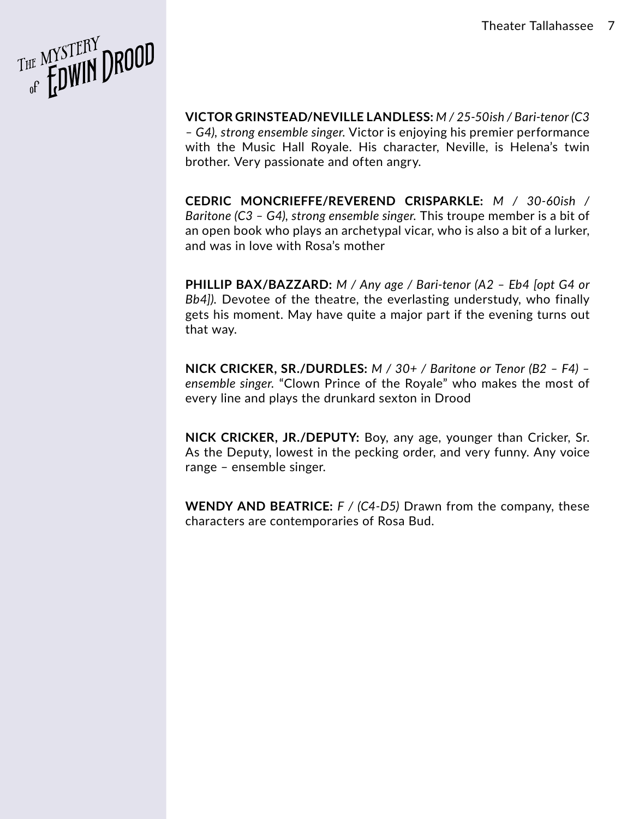

**VICTOR GRINSTEAD/NEVILLE LANDLESS:** *M / 25-50ish / Bari-tenor (C3 – G4), strong ensemble singer.* Victor is enjoying his premier performance with the Music Hall Royale. His character, Neville, is Helena's twin brother. Very passionate and often angry.

**CEDRIC MONCRIEFFE/REVEREND CRISPARKLE:** *M / 30-60ish / Baritone (C3 – G4), strong ensemble singer.* This troupe member is a bit of an open book who plays an archetypal vicar, who is also a bit of a lurker, and was in love with Rosa's mother

**PHILLIP BAX/BAZZARD:** *M / Any age / Bari-tenor (A2 – Eb4 [opt G4 or Bb4]).* Devotee of the theatre, the everlasting understudy, who finally gets his moment. May have quite a major part if the evening turns out that way.

**NICK CRICKER, SR./DURDLES:** *M / 30+ / Baritone or Tenor (B2 – F4) – ensemble singer.* "Clown Prince of the Royale" who makes the most of every line and plays the drunkard sexton in Drood

**NICK CRICKER, JR./DEPUTY:** Boy, any age, younger than Cricker, Sr. As the Deputy, lowest in the pecking order, and very funny. Any voice range – ensemble singer.

**WENDY AND BEATRICE:** *F / (C4-D5)* Drawn from the company, these characters are contemporaries of Rosa Bud.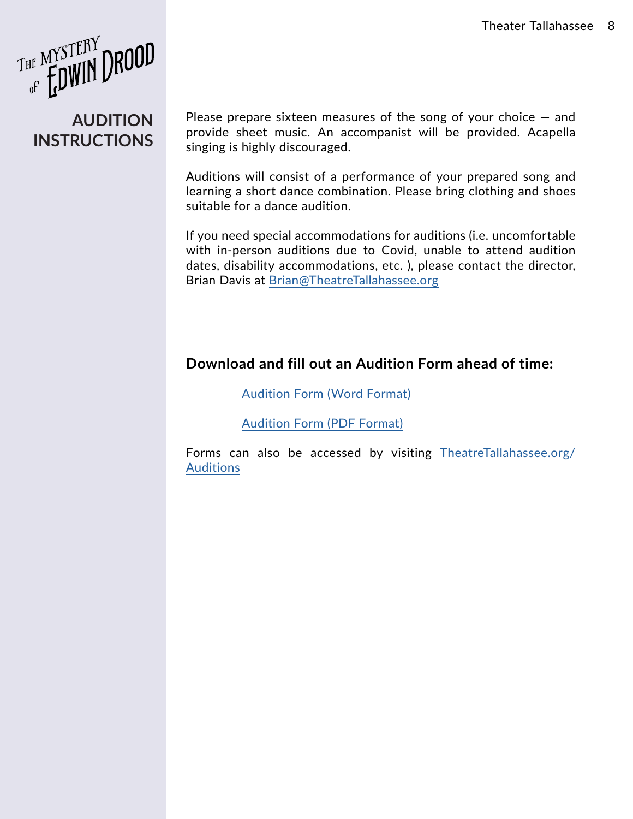THE MYSTERY DROOD

#### **AUDITION INSTRUCTIONS**

Please prepare sixteen measures of the song of your choice  $-$  and provide sheet music. An accompanist will be provided. Acapella singing is highly discouraged.

Auditions will consist of a performance of your prepared song and learning a short dance combination. Please bring clothing and shoes suitable for a dance audition.

If you need special accommodations for auditions (i.e. uncomfortable with in-person auditions due to Covid, unable to attend audition dates, disability accommodations, etc. ), please contact the director, Brian Davis at [Brian@TheatreTallahassee.org](mailto:Brian%40TheatreTallahassee.org?subject=Drood%20Auditions%20-%20Accomodations)

#### **Download and fill out an Audition Form ahead of time:**

[Audition Form \(Word Format\)](https://theatretallahassee.org/wp-content/uploads/2021/04/Audition-Form.docx)

[Audition Form \(PDF Format\)](https://theatretallahassee.org/wp-content/uploads/2021/04/Audition-Form.pdf)

Forms can also be accessed by visiting [TheatreTallahassee.org/](http://TheatreTallahassee.org/Auditions) **[Auditions](http://TheatreTallahassee.org/Auditions)**